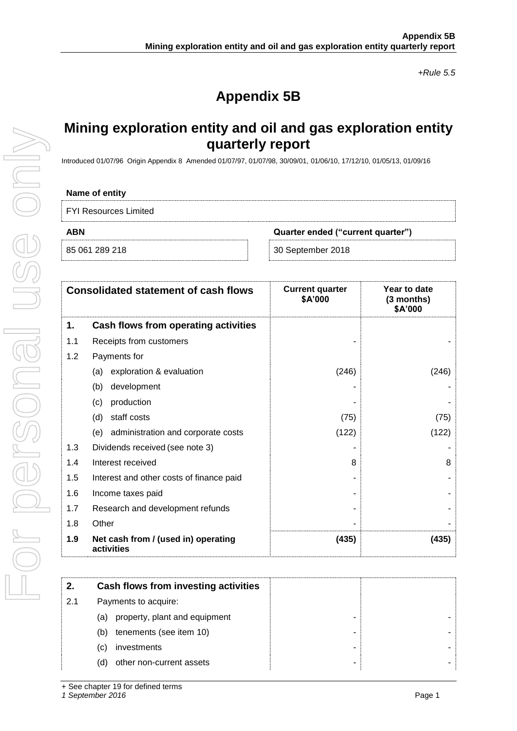*+Rule 5.5*

# **Appendix 5B**

## **Mining exploration entity and oil and gas exploration entity quarterly report**

Introduced 01/07/96 Origin Appendix 8 Amended 01/07/97, 01/07/98, 30/09/01, 01/06/10, 17/12/10, 01/05/13, 01/09/16

### **Name of entity**

FYI Resources Limited

**ABN Quarter ended ("current quarter")**

85 061 289 218 30 September 2018

|     | <b>Consolidated statement of cash flows</b>       | <b>Current quarter</b><br>\$A'000 | Year to date<br>(3 months)<br>\$A'000 |
|-----|---------------------------------------------------|-----------------------------------|---------------------------------------|
| 1.  | Cash flows from operating activities              |                                   |                                       |
| 1.1 | Receipts from customers                           |                                   |                                       |
| 1.2 | Payments for                                      |                                   |                                       |
|     | exploration & evaluation<br>(a)                   | (246)                             | (246)                                 |
|     | development<br>(b)                                |                                   |                                       |
|     | production<br>(c)                                 |                                   |                                       |
|     | staff costs<br>(d)                                | (75)                              | (75)                                  |
|     | (e) administration and corporate costs            | (122)                             | (122)                                 |
| 1.3 | Dividends received (see note 3)                   |                                   |                                       |
| 1.4 | Interest received                                 | 8                                 | 8                                     |
| 1.5 | Interest and other costs of finance paid          |                                   |                                       |
| 1.6 | Income taxes paid                                 |                                   |                                       |
| 1.7 | Research and development refunds                  |                                   |                                       |
| 1.8 | Other                                             |                                   |                                       |
| 1.9 | Net cash from / (used in) operating<br>activities | (435)                             | (435)                                 |

| 2.  | Cash flows from investing activities |
|-----|--------------------------------------|
| 2.1 | Payments to acquire:                 |
|     | property, plant and equipment<br>(a) |
|     | tenements (see item 10)<br>(b)       |
|     | investments<br>(C)                   |
|     | other non-current assets<br>(d)      |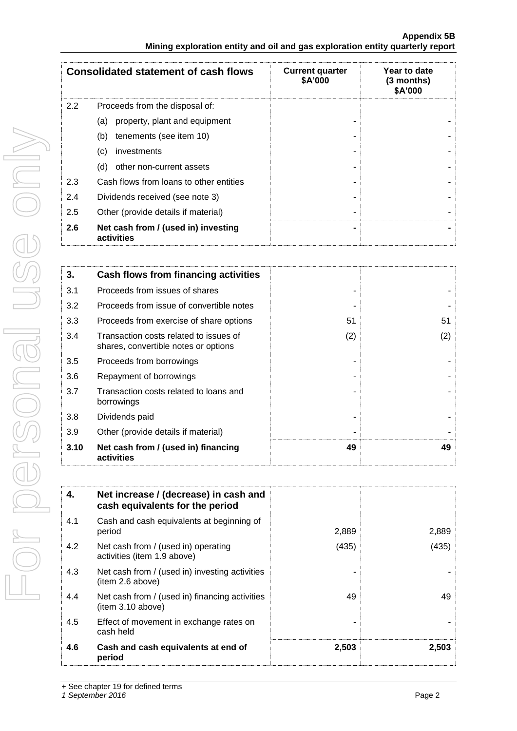|     | <b>Consolidated statement of cash flows</b>       | <b>Current quarter</b><br>\$A'000 | Year to date<br>(3 months)<br>\$A'000 |
|-----|---------------------------------------------------|-----------------------------------|---------------------------------------|
| 2.2 | Proceeds from the disposal of:                    |                                   |                                       |
|     | property, plant and equipment<br>(a)              |                                   |                                       |
|     | tenements (see item 10)<br>(b)                    |                                   |                                       |
|     | (c)<br>investments                                |                                   |                                       |
|     | (d)<br>other non-current assets                   |                                   |                                       |
| 2.3 | Cash flows from loans to other entities           |                                   |                                       |
| 2.4 | Dividends received (see note 3)                   |                                   |                                       |
| 2.5 | Other (provide details if material)               |                                   |                                       |
| 2.6 | Net cash from / (used in) investing<br>activities |                                   |                                       |

| 3.   | Cash flows from financing activities                                           |     |     |
|------|--------------------------------------------------------------------------------|-----|-----|
| 3.1  | Proceeds from issues of shares                                                 |     |     |
| 3.2  | Proceeds from issue of convertible notes                                       |     |     |
| 3.3  | Proceeds from exercise of share options                                        | 51  | 51  |
| 3.4  | Transaction costs related to issues of<br>shares, convertible notes or options | (2) | (2) |
| 3.5  | Proceeds from borrowings                                                       |     |     |
| 3.6  | Repayment of borrowings                                                        |     |     |
| 3.7  | Transaction costs related to loans and<br>borrowings                           |     |     |
| 3.8  | Dividends paid                                                                 |     |     |
| 3.9  | Other (provide details if material)                                            |     |     |
| 3.10 | Net cash from / (used in) financing<br>activities                              | 49  | 49  |

| 4.  | Net increase / (decrease) in cash and<br>cash equivalents for the period |       |       |
|-----|--------------------------------------------------------------------------|-------|-------|
| 4.1 | Cash and cash equivalents at beginning of<br>period                      | 2,889 | 2,889 |
| 4.2 | Net cash from / (used in) operating<br>activities (item 1.9 above)       | (435) | (435) |
| 4.3 | Net cash from / (used in) investing activities<br>(item 2.6 above)       |       |       |
| 4.4 | Net cash from / (used in) financing activities<br>item 3.10 above)       | 49    | 49    |
| 4.5 | Effect of movement in exchange rates on<br>cash held                     |       |       |
| 4.6 | Cash and cash equivalents at end of<br>period                            | 2,503 | 2,503 |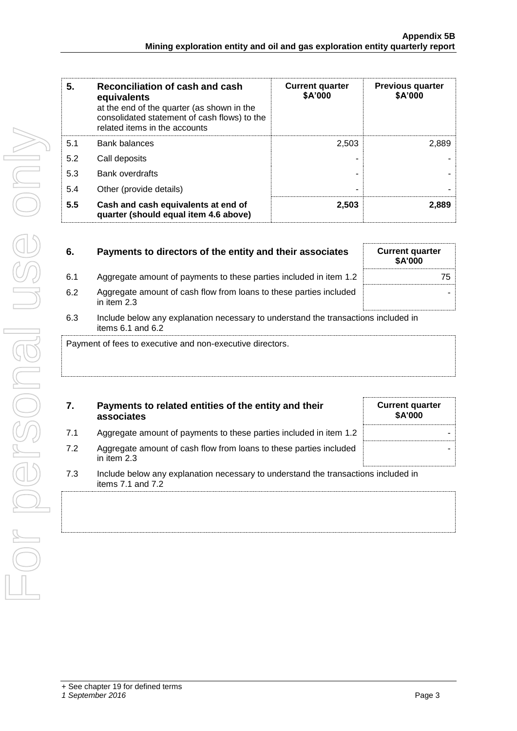| 5.  | Reconciliation of cash and cash<br>equivalents<br>at the end of the quarter (as shown in the<br>consolidated statement of cash flows) to the<br>related items in the accounts | <b>Current quarter</b><br>\$A'000 | <b>Previous quarter</b><br>\$A'000 |
|-----|-------------------------------------------------------------------------------------------------------------------------------------------------------------------------------|-----------------------------------|------------------------------------|
| 5.1 | <b>Bank balances</b>                                                                                                                                                          | 2,503                             | 2.889                              |
| 5.2 | Call deposits                                                                                                                                                                 |                                   |                                    |
| 5.3 | Bank overdrafts                                                                                                                                                               |                                   |                                    |
| 5.4 | Other (provide details)                                                                                                                                                       | ۰                                 |                                    |
| 5.5 | Cash and cash equivalents at end of<br>quarter (should equal item 4.6 above)                                                                                                  | 2,503                             | 2,889                              |

| 6.  | Payments to directors of the entity and their associates                                                    | <b>Current quarter</b><br><b>\$A'000</b> |
|-----|-------------------------------------------------------------------------------------------------------------|------------------------------------------|
| 6.1 | Aggregate amount of payments to these parties included in item 1.2                                          | 75                                       |
| 6.2 | Aggregate amount of cash flow from loans to these parties included<br>in item $2.3$                         |                                          |
| 6.3 | Include below any explanation necessary to understand the transactions included in<br>items $6.1$ and $6.2$ |                                          |
|     | Payment of fees to executive and non-executive directors.                                                   |                                          |

| Payments to related entities of the entity and their |  |
|------------------------------------------------------|--|
| associates                                           |  |

| 7.1 |  |  | Aggregate amount of payments to these parties included in item 1.2 |  |  |
|-----|--|--|--------------------------------------------------------------------|--|--|
|-----|--|--|--------------------------------------------------------------------|--|--|

- 7.2 Aggregate amount of cash flow from loans to these parties included in item 2.3
- 7.3 Include below any explanation necessary to understand the transactions included in items 7.1 and 7.2

**Current quarter \$A'000**

-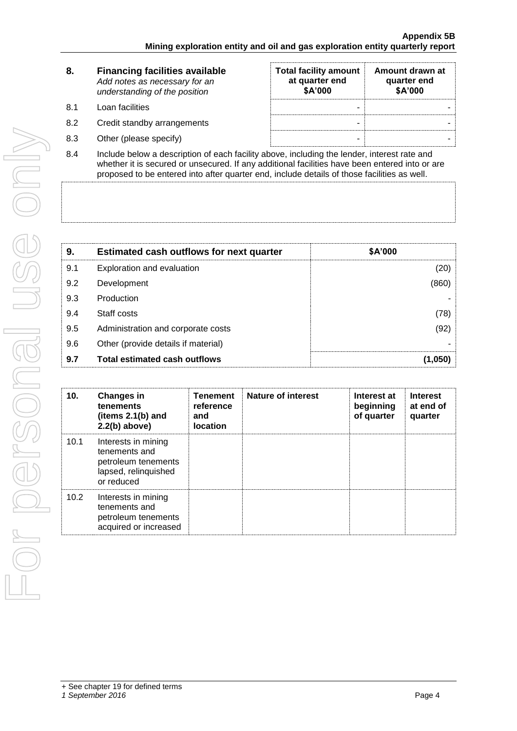| 8.         | <b>Financing facilities available</b><br>Add notes as necessary for an<br>understanding of the position           | <b>Total facility amount</b><br>at quarter end<br>\$A'000 | Amount drawn at<br>quarter end<br>\$A'000 |
|------------|-------------------------------------------------------------------------------------------------------------------|-----------------------------------------------------------|-------------------------------------------|
| 8.1        | Loan facilities                                                                                                   | -                                                         |                                           |
| 8.2        | Credit standby arrangements                                                                                       | -                                                         |                                           |
| 8.3        | Other (please specify)                                                                                            | ۰                                                         |                                           |
| <b>0</b> 4 | المعرم وغمر فموجعتها وماموها وعافره والمعارضات وبرمعام ببغالمهم واممم فمرعوه ومنافسا ومستمرات وبالمسامع والمسامعا |                                                           |                                           |

8.4 Include below a description of each facility above, including the lender, interest rate and whether it is secured or unsecured. If any additional facilities have been entered into or are proposed to be entered into after quarter end, include details of those facilities as well.

| 9.  | <b>Estimated cash outflows for next quarter</b> | \$A'000 |
|-----|-------------------------------------------------|---------|
| 9.1 | Exploration and evaluation                      | (20)    |
| 9.2 | Development                                     | (860)   |
| 9.3 | Production                                      |         |
| 9.4 | Staff costs                                     | (78)    |
| 9.5 | Administration and corporate costs              | (92)    |
| 9.6 | Other (provide details if material)             |         |
| 9.7 | <b>Total estimated cash outflows</b>            | (1,050) |

| 10.  | <b>Changes in</b><br><b>tenements</b><br>(items $2.1(b)$ and<br>$2.2(b)$ above)                   | <b>Tenement</b><br>reference<br>and<br><b>location</b> | <b>Nature of interest</b> | Interest at<br>beginning<br>of quarter | <b>Interest</b><br>at end of<br>quarter |
|------|---------------------------------------------------------------------------------------------------|--------------------------------------------------------|---------------------------|----------------------------------------|-----------------------------------------|
| 10.1 | Interests in mining<br>tenements and<br>petroleum tenements<br>lapsed, relinquished<br>or reduced |                                                        |                           |                                        |                                         |
| 10.2 | Interests in mining<br>tenements and<br>petroleum tenements<br>acquired or increased              |                                                        |                           |                                        |                                         |